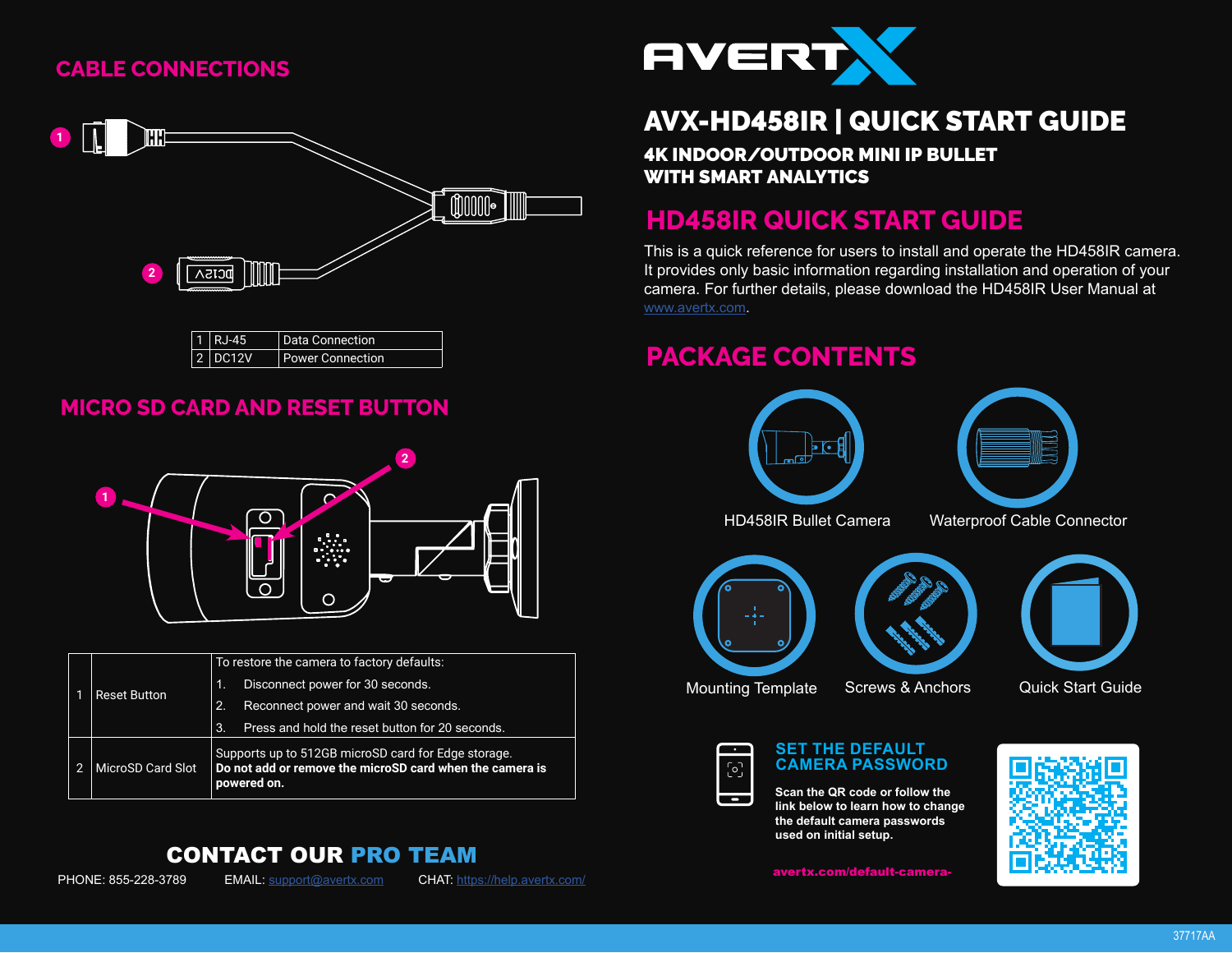## **CABLE CONNECTIONS**



| $1$ RJ-45 | Data Connection         |
|-----------|-------------------------|
| $2$ DC12V | <b>Power Connection</b> |

### **MICRO SD CARD AND RESET BUTTON**



| <b>Reset Button</b> | To restore the camera to factory defaults:                                                                                     |  |
|---------------------|--------------------------------------------------------------------------------------------------------------------------------|--|
|                     | Disconnect power for 30 seconds.<br>$\blacksquare$                                                                             |  |
|                     | Reconnect power and wait 30 seconds.<br>2.                                                                                     |  |
|                     | 3.<br>Press and hold the reset button for 20 seconds.                                                                          |  |
| MicroSD Card Slot   | Supports up to 512GB microSD card for Edge storage.<br>Do not add or remove the microSD card when the camera is<br>powered on. |  |

### CONTACT OUR PRO TEAM



PHONE: 855-228-3789 EMAIL: support@avertx.com CHAT: https://help.avertx.com/



# AVX-HD458IR | QUICK START GUIDE

4K INDOOR/OUTDOOR MINI IP BULLET WITH SMART ANALYTICS

## **HD458IR QUICK START GUIDE**

This is a quick reference for users to install and operate the HD458IR camera. It provides only basic information regarding installation and operation of your camera. For further details, please download the HD458IR User Manual at www.avertx.com.

## **PACKAGE CONTENTS**

 $\overline{\phantom{a}}$ 



**Scan the QR code or follow the link below to learn how to change the default camera passwords used on initial setup.**

avertx.com/default-camera-